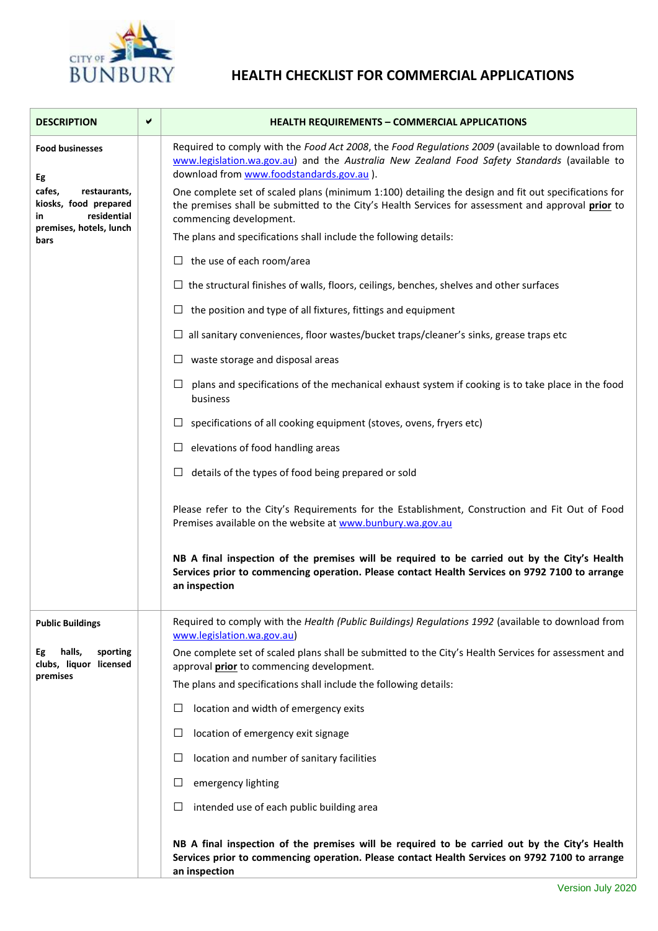

## **HEALTH CHECKLIST FOR COMMERCIAL APPLICATIONS**

| <b>DESCRIPTION</b>                                                                                                                       | ✔ | <b>HEALTH REQUIREMENTS - COMMERCIAL APPLICATIONS</b>                                                                                                                                                                                          |
|------------------------------------------------------------------------------------------------------------------------------------------|---|-----------------------------------------------------------------------------------------------------------------------------------------------------------------------------------------------------------------------------------------------|
| <b>Food businesses</b><br>Eg<br>cafes,<br>restaurants,<br>kiosks, food prepared<br>residential<br>in.<br>premises, hotels, lunch<br>bars |   | Required to comply with the Food Act 2008, the Food Regulations 2009 (available to download from<br>www.legislation.wa.gov.au) and the Australia New Zealand Food Safety Standards (available to<br>download from www.foodstandards.gov.au ). |
|                                                                                                                                          |   | One complete set of scaled plans (minimum 1:100) detailing the design and fit out specifications for<br>the premises shall be submitted to the City's Health Services for assessment and approval prior to<br>commencing development.         |
|                                                                                                                                          |   | The plans and specifications shall include the following details:                                                                                                                                                                             |
|                                                                                                                                          |   | $\Box$ the use of each room/area                                                                                                                                                                                                              |
|                                                                                                                                          |   | $\Box$ the structural finishes of walls, floors, ceilings, benches, shelves and other surfaces                                                                                                                                                |
|                                                                                                                                          |   | the position and type of all fixtures, fittings and equipment                                                                                                                                                                                 |
|                                                                                                                                          |   | $\Box$ all sanitary conveniences, floor wastes/bucket traps/cleaner's sinks, grease traps etc                                                                                                                                                 |
|                                                                                                                                          |   | waste storage and disposal areas<br>ப                                                                                                                                                                                                         |
|                                                                                                                                          |   | □<br>plans and specifications of the mechanical exhaust system if cooking is to take place in the food<br>business                                                                                                                            |
|                                                                                                                                          |   | specifications of all cooking equipment (stoves, ovens, fryers etc)<br>ப                                                                                                                                                                      |
|                                                                                                                                          |   | elevations of food handling areas<br>ப                                                                                                                                                                                                        |
|                                                                                                                                          |   | $\Box$ details of the types of food being prepared or sold                                                                                                                                                                                    |
|                                                                                                                                          |   | Please refer to the City's Requirements for the Establishment, Construction and Fit Out of Food<br>Premises available on the website at www.bunbury.wa.gov.au                                                                                 |
|                                                                                                                                          |   | NB A final inspection of the premises will be required to be carried out by the City's Health<br>Services prior to commencing operation. Please contact Health Services on 9792 7100 to arrange<br>an inspection                              |
| <b>Public Buildings</b>                                                                                                                  |   | Required to comply with the Health (Public Buildings) Regulations 1992 (available to download from<br>www.legislation.wa.gov.au)                                                                                                              |
| halls,<br>sporting<br>Eg<br>clubs, liquor licensed<br>premises                                                                           |   | One complete set of scaled plans shall be submitted to the City's Health Services for assessment and<br>approval <i>prior</i> to commencing development.                                                                                      |
|                                                                                                                                          |   | The plans and specifications shall include the following details:                                                                                                                                                                             |
|                                                                                                                                          |   | location and width of emergency exits<br>$\Box$                                                                                                                                                                                               |
|                                                                                                                                          |   | $\Box$<br>location of emergency exit signage                                                                                                                                                                                                  |
|                                                                                                                                          |   | $\Box$<br>location and number of sanitary facilities                                                                                                                                                                                          |
|                                                                                                                                          |   | $\Box$<br>emergency lighting                                                                                                                                                                                                                  |
|                                                                                                                                          |   | $\Box$<br>intended use of each public building area                                                                                                                                                                                           |
|                                                                                                                                          |   | NB A final inspection of the premises will be required to be carried out by the City's Health<br>Services prior to commencing operation. Please contact Health Services on 9792 7100 to arrange<br>an inspection                              |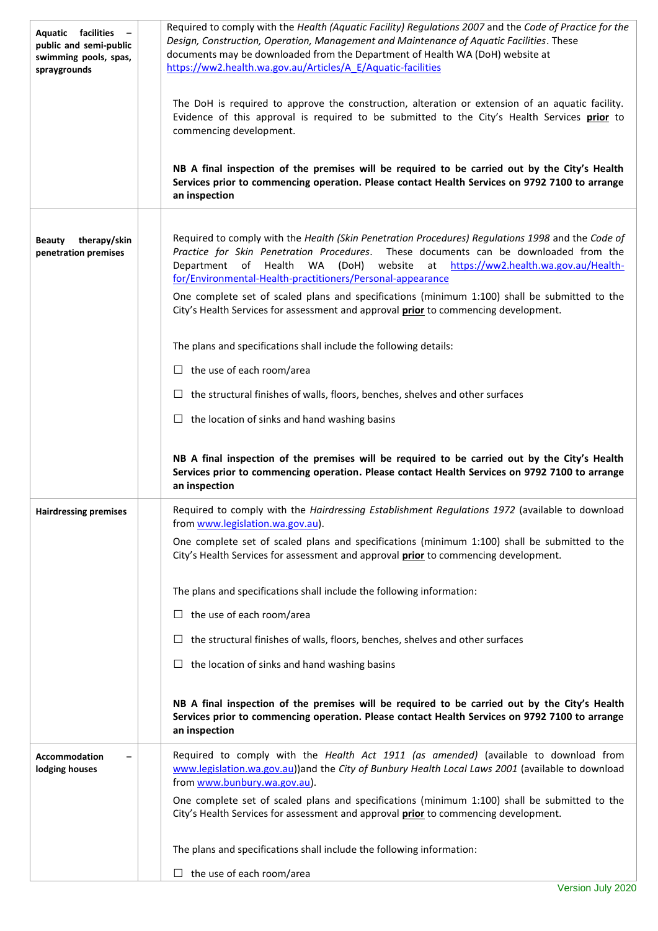| Aquatic facilities<br>public and semi-public<br>swimming pools, spas,<br>spraygrounds | Required to comply with the Health (Aquatic Facility) Regulations 2007 and the Code of Practice for the<br>Design, Construction, Operation, Management and Maintenance of Aquatic Facilities. These<br>documents may be downloaded from the Department of Health WA (DoH) website at<br>https://ww2.health.wa.gov.au/Articles/A E/Aquatic-facilities                                                                                               |
|---------------------------------------------------------------------------------------|----------------------------------------------------------------------------------------------------------------------------------------------------------------------------------------------------------------------------------------------------------------------------------------------------------------------------------------------------------------------------------------------------------------------------------------------------|
|                                                                                       | The DoH is required to approve the construction, alteration or extension of an aquatic facility.<br>Evidence of this approval is required to be submitted to the City's Health Services prior to<br>commencing development.                                                                                                                                                                                                                        |
|                                                                                       | NB A final inspection of the premises will be required to be carried out by the City's Health<br>Services prior to commencing operation. Please contact Health Services on 9792 7100 to arrange<br>an inspection                                                                                                                                                                                                                                   |
| therapy/skin<br><b>Beauty</b><br>penetration premises                                 | Required to comply with the Health (Skin Penetration Procedures) Requlations 1998 and the Code of<br>Practice for Skin Penetration Procedures. These documents can be downloaded from the<br>Department<br>of Health<br>WA<br>(DoH) website at https://ww2.health.wa.gov.au/Health-<br>for/Environmental-Health-practitioners/Personal-appearance<br>One complete set of scaled plans and specifications (minimum 1:100) shall be submitted to the |
|                                                                                       | City's Health Services for assessment and approval prior to commencing development.                                                                                                                                                                                                                                                                                                                                                                |
|                                                                                       | The plans and specifications shall include the following details:                                                                                                                                                                                                                                                                                                                                                                                  |
|                                                                                       | $\Box$ the use of each room/area                                                                                                                                                                                                                                                                                                                                                                                                                   |
|                                                                                       | $\Box$ the structural finishes of walls, floors, benches, shelves and other surfaces                                                                                                                                                                                                                                                                                                                                                               |
|                                                                                       | $\Box$ the location of sinks and hand washing basins                                                                                                                                                                                                                                                                                                                                                                                               |
|                                                                                       |                                                                                                                                                                                                                                                                                                                                                                                                                                                    |
|                                                                                       | NB A final inspection of the premises will be required to be carried out by the City's Health<br>Services prior to commencing operation. Please contact Health Services on 9792 7100 to arrange<br>an inspection                                                                                                                                                                                                                                   |
| <b>Hairdressing premises</b>                                                          | Required to comply with the Hairdressing Establishment Regulations 1972 (available to download<br>from www.legislation.wa.gov.au).                                                                                                                                                                                                                                                                                                                 |
|                                                                                       | One complete set of scaled plans and specifications (minimum 1:100) shall be submitted to the<br>City's Health Services for assessment and approval prior to commencing development.                                                                                                                                                                                                                                                               |
|                                                                                       | The plans and specifications shall include the following information:                                                                                                                                                                                                                                                                                                                                                                              |
|                                                                                       | $\Box$ the use of each room/area                                                                                                                                                                                                                                                                                                                                                                                                                   |
|                                                                                       | $\Box$ the structural finishes of walls, floors, benches, shelves and other surfaces                                                                                                                                                                                                                                                                                                                                                               |
|                                                                                       | $\Box$ the location of sinks and hand washing basins                                                                                                                                                                                                                                                                                                                                                                                               |
|                                                                                       | NB A final inspection of the premises will be required to be carried out by the City's Health<br>Services prior to commencing operation. Please contact Health Services on 9792 7100 to arrange<br>an inspection                                                                                                                                                                                                                                   |
| <b>Accommodation</b><br>lodging houses                                                | Required to comply with the Health Act 1911 (as amended) (available to download from<br>www.legislation.wa.gov.au))and the City of Bunbury Health Local Laws 2001 (available to download<br>from www.bunbury.wa.gov.au).                                                                                                                                                                                                                           |
|                                                                                       | One complete set of scaled plans and specifications (minimum 1:100) shall be submitted to the<br>City's Health Services for assessment and approval prior to commencing development.                                                                                                                                                                                                                                                               |
|                                                                                       | The plans and specifications shall include the following information:                                                                                                                                                                                                                                                                                                                                                                              |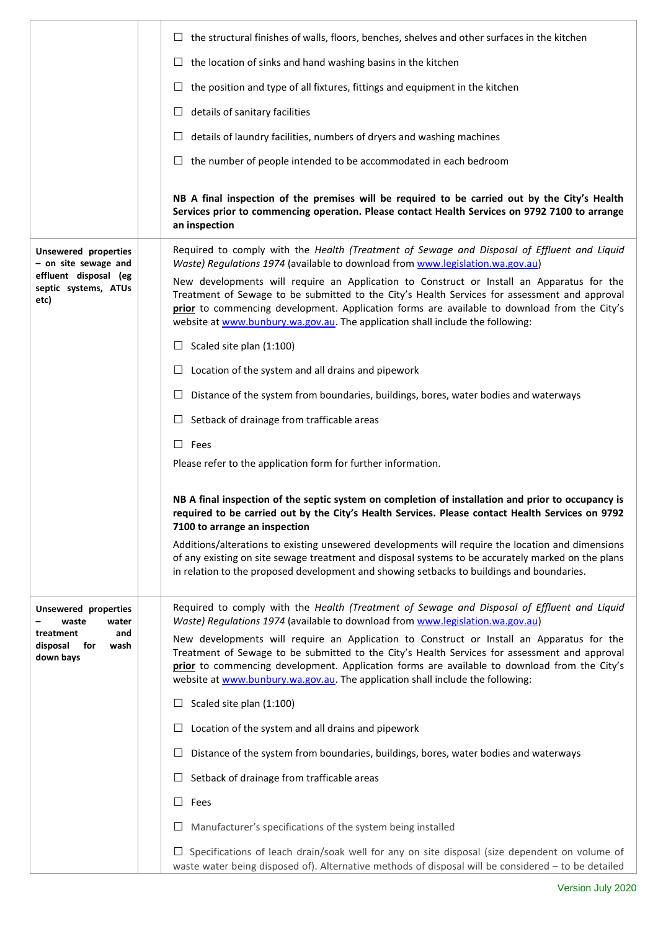|                                                          | $\Box$ the structural finishes of walls, floors, benches, shelves and other surfaces in the kitchen                                                                                                                                                                                                                                                                          |
|----------------------------------------------------------|------------------------------------------------------------------------------------------------------------------------------------------------------------------------------------------------------------------------------------------------------------------------------------------------------------------------------------------------------------------------------|
|                                                          | $\Box$ the location of sinks and hand washing basins in the kitchen                                                                                                                                                                                                                                                                                                          |
|                                                          | the position and type of all fixtures, fittings and equipment in the kitchen<br>$\Box$                                                                                                                                                                                                                                                                                       |
|                                                          | details of sanitary facilities<br>ப                                                                                                                                                                                                                                                                                                                                          |
|                                                          | details of laundry facilities, numbers of dryers and washing machines<br>⊔                                                                                                                                                                                                                                                                                                   |
|                                                          | the number of people intended to be accommodated in each bedroom<br>⊔                                                                                                                                                                                                                                                                                                        |
|                                                          | NB A final inspection of the premises will be required to be carried out by the City's Health<br>Services prior to commencing operation. Please contact Health Services on 9792 7100 to arrange<br>an inspection                                                                                                                                                             |
| <b>Unsewered properties</b><br>- on site sewage and      | Required to comply with the Health (Treatment of Sewage and Disposal of Effluent and Liquid<br>Waste) Regulations 1974 (available to download from www.legislation.wa.gov.au)                                                                                                                                                                                                |
| effluent disposal (eg<br>septic systems, ATUs<br>etc)    | New developments will require an Application to Construct or Install an Apparatus for the<br>Treatment of Sewage to be submitted to the City's Health Services for assessment and approval<br>prior to commencing development. Application forms are available to download from the City's<br>website at www.bunbury.wa.gov.au. The application shall include the following: |
|                                                          | Scaled site plan (1:100)<br>$\Box$                                                                                                                                                                                                                                                                                                                                           |
|                                                          | Location of the system and all drains and pipework<br>ப                                                                                                                                                                                                                                                                                                                      |
|                                                          | $\Box$<br>Distance of the system from boundaries, buildings, bores, water bodies and waterways                                                                                                                                                                                                                                                                               |
|                                                          | Setback of drainage from trafficable areas<br>⊔                                                                                                                                                                                                                                                                                                                              |
|                                                          | $\Box$<br>Fees                                                                                                                                                                                                                                                                                                                                                               |
|                                                          | Please refer to the application form for further information.                                                                                                                                                                                                                                                                                                                |
|                                                          | NB A final inspection of the septic system on completion of installation and prior to occupancy is<br>required to be carried out by the City's Health Services. Please contact Health Services on 9792<br>7100 to arrange an inspection                                                                                                                                      |
|                                                          | Additions/alterations to existing unsewered developments will require the location and dimensions<br>of any existing on site sewage treatment and disposal systems to be accurately marked on the plans<br>in relation to the proposed development and showing setbacks to buildings and boundaries.                                                                         |
| <b>Unsewered properties</b><br>waste<br>water            | Required to comply with the Health (Treatment of Sewage and Disposal of Effluent and Liquid<br>Waste) Regulations 1974 (available to download from www.legislation.wa.gov.au)                                                                                                                                                                                                |
| treatment<br>and<br>disposal<br>for<br>wash<br>down bays | New developments will require an Application to Construct or Install an Apparatus for the<br>Treatment of Sewage to be submitted to the City's Health Services for assessment and approval<br>prior to commencing development. Application forms are available to download from the City's<br>website at www.bunbury.wa.gov.au. The application shall include the following: |
|                                                          | Scaled site plan (1:100)<br>⊔                                                                                                                                                                                                                                                                                                                                                |
|                                                          | ப<br>Location of the system and all drains and pipework                                                                                                                                                                                                                                                                                                                      |
|                                                          | Distance of the system from boundaries, buildings, bores, water bodies and waterways<br>ப                                                                                                                                                                                                                                                                                    |
|                                                          | Setback of drainage from trafficable areas<br>ப                                                                                                                                                                                                                                                                                                                              |
|                                                          | ப<br>Fees                                                                                                                                                                                                                                                                                                                                                                    |
|                                                          | Manufacturer's specifications of the system being installed<br>ப                                                                                                                                                                                                                                                                                                             |
|                                                          | Specifications of leach drain/soak well for any on site disposal (size dependent on volume of<br>ப<br>waste water being disposed of). Alternative methods of disposal will be considered - to be detailed                                                                                                                                                                    |